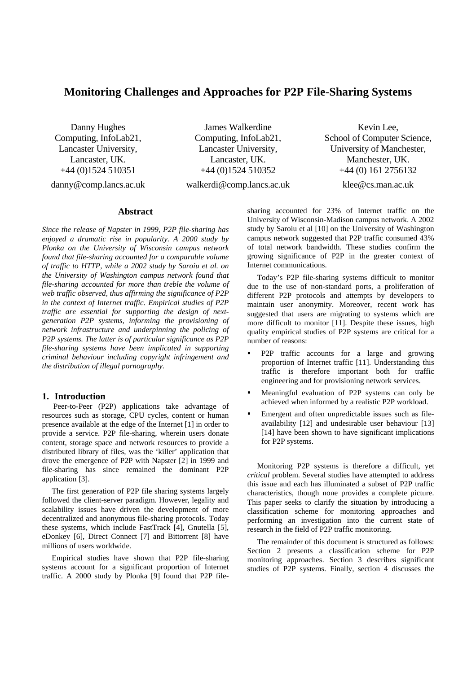# **Monitoring Challenges and Approaches for P2P File-Sharing Systems**

Danny Hughes Computing, InfoLab21, Lancaster University, Lancaster, UK. +44 (0)1524 510351

danny@comp.lancs.ac.uk

James Walkerdine Computing, InfoLab21, Lancaster University, Lancaster, UK. +44 (0)1524 510352 walkerdi@comp.lancs.ac.uk

School of Computer Science, University of Manchester, Manchester, UK. +44 (0) 161 2756132 klee@cs.man.ac.uk

Kevin Lee,

## **Abstract**

*Since the release of Napster in 1999, P2P file-sharing has enjoyed a dramatic rise in popularity. A 2000 study by Plonka on the University of Wisconsin campus network found that file-sharing accounted for a comparable volume of traffic to HTTP, while a 2002 study by Saroiu et al. on the University of Washington campus network found that file-sharing accounted for more than treble the volume of web traffic observed, thus affirming the significance of P2P in the context of Internet traffic. Empirical studies of P2P traffic are essential for supporting the design of nextgeneration P2P systems, informing the provisioning of network infrastructure and underpinning the policing of P2P systems. The latter is of particular significance as P2P file-sharing systems have been implicated in supporting criminal behaviour including copyright infringement and the distribution of illegal pornography.* 

#### **1. Introduction**

 Peer-to-Peer (P2P) applications take advantage of resources such as storage, CPU cycles, content or human presence available at the edge of the Internet [1] in order to provide a service. P2P file-sharing, wherein users donate content, storage space and network resources to provide a distributed library of files, was the 'killer' application that drove the emergence of P2P with Napster [2] in 1999 and file-sharing has since remained the dominant P2P application [3].

 The first generation of P2P file sharing systems largely followed the client-server paradigm. However, legality and scalability issues have driven the development of more decentralized and anonymous file-sharing protocols. Today these systems, which include FastTrack [4], Gnutella [5], eDonkey [6], Direct Connect [7] and Bittorrent [8] have millions of users worldwide.

 Empirical studies have shown that P2P file-sharing systems account for a significant proportion of Internet traffic. A 2000 study by Plonka [9] found that P2P file-

sharing accounted for 23% of Internet traffic on the University of Wisconsin-Madison campus network. A 2002 study by Saroiu et al [10] on the University of Washington campus network suggested that P2P traffic consumed 43% of total network bandwidth. These studies confirm the growing significance of P2P in the greater context of Internet communications.

 Today's P2P file-sharing systems difficult to monitor due to the use of non-standard ports, a proliferation of different P2P protocols and attempts by developers to maintain user anonymity. Moreover, recent work has suggested that users are migrating to systems which are more difficult to monitor [11]. Despite these issues, high quality empirical studies of P2P systems are critical for a number of reasons:

- P2P traffic accounts for a large and growing proportion of Internet traffic [11]. Understanding this traffic is therefore important both for traffic engineering and for provisioning network services.
- Meaningful evaluation of P2P systems can only be achieved when informed by a realistic P2P workload.
- Emergent and often unpredictable issues such as fileavailability [12] and undesirable user behaviour [13] [14] have been shown to have significant implications for P2P systems.

 Monitoring P2P systems is therefore a difficult, yet *critical* problem. Several studies have attempted to address this issue and each has illuminated a subset of P2P traffic characteristics, though none provides a complete picture. This paper seeks to clarify the situation by introducing a classification scheme for monitoring approaches and performing an investigation into the current state of research in the field of P2P traffic monitoring.

 The remainder of this document is structured as follows: Section 2 presents a classification scheme for P2P monitoring approaches. Section 3 describes significant studies of P2P systems. Finally, section 4 discusses the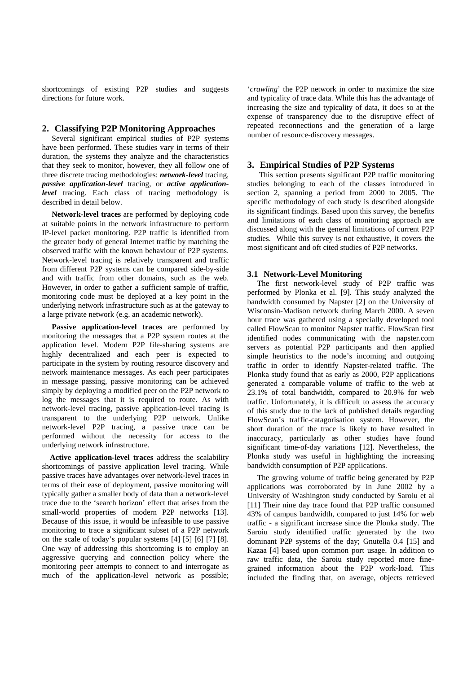shortcomings of existing P2P studies and suggests directions for future work.

## **2. Classifying P2P Monitoring Approaches**

 Several significant empirical studies of P2P systems have been performed. These studies vary in terms of their duration, the systems they analyze and the characteristics that they seek to monitor, however, they all follow one of three discrete tracing methodologies: *network-level* tracing, *passive application-level* tracing, or *active applicationlevel* tracing. Each class of tracing methodology is described in detail below.

 **Network-level traces** are performed by deploying code at suitable points in the network infrastructure to perform IP-level packet monitoring. P2P traffic is identified from the greater body of general Internet traffic by matching the observed traffic with the known behaviour of P2P systems. Network-level tracing is relatively transparent and traffic from different P2P systems can be compared side-by-side and with traffic from other domains, such as the web. However, in order to gather a sufficient sample of traffic, monitoring code must be deployed at a key point in the underlying network infrastructure such as at the gateway to a large private network (e.g. an academic network).

 **Passive application-level traces** are performed by monitoring the messages that a P2P system routes at the application level. Modern P2P file-sharing systems are highly decentralized and each peer is expected to participate in the system by routing resource discovery and network maintenance messages. As each peer participates in message passing, passive monitoring can be achieved simply by deploying a modified peer on the P2P network to log the messages that it is required to route. As with network-level tracing, passive application-level tracing is transparent to the underlying P2P network. Unlike network-level P2P tracing, a passive trace can be performed without the necessity for access to the underlying network infrastructure.

 **Active application-level traces** address the scalability shortcomings of passive application level tracing. While passive traces have advantages over network-level traces in terms of their ease of deployment, passive monitoring will typically gather a smaller body of data than a network-level trace due to the 'search horizon' effect that arises from the small-world properties of modern P2P networks [13]. Because of this issue, it would be infeasible to use passive monitoring to trace a significant subset of a P2P network on the scale of today's popular systems [4] [5] [6] [7] [8]. One way of addressing this shortcoming is to employ an aggressive querying and connection policy where the monitoring peer attempts to connect to and interrogate as much of the application-level network as possible;

'*crawling*' the P2P network in order to maximize the size and typicality of trace data. While this has the advantage of increasing the size and typicality of data, it does so at the expense of transparency due to the disruptive effect of repeated reconnections and the generation of a large number of resource-discovery messages.

# **3. Empirical Studies of P2P Systems**

 This section presents significant P2P traffic monitoring studies belonging to each of the classes introduced in section 2, spanning a period from 2000 to 2005. The specific methodology of each study is described alongside its significant findings. Based upon this survey, the benefits and limitations of each class of monitoring approach are discussed along with the general limitations of current P2P studies. While this survey is not exhaustive, it covers the most significant and oft cited studies of P2P networks.

#### **3.1 Network-Level Monitoring**

 The first network-level study of P2P traffic was performed by Plonka et al. [9]. This study analyzed the bandwidth consumed by Napster [2] on the University of Wisconsin-Madison network during March 2000. A seven hour trace was gathered using a specially developed tool called FlowScan to monitor Napster traffic. FlowScan first identified nodes communicating with the napster.com servers as potential P2P participants and then applied simple heuristics to the node's incoming and outgoing traffic in order to identify Napster-related traffic. The Plonka study found that as early as 2000, P2P applications generated a comparable volume of traffic to the web at 23.1% of total bandwidth, compared to 20.9% for web traffic. Unfortunately, it is difficult to assess the accuracy of this study due to the lack of published details regarding FlowScan's traffic-catagorisation system. However, the short duration of the trace is likely to have resulted in inaccuracy, particularly as other studies have found significant time-of-day variations [12]. Nevertheless, the Plonka study was useful in highlighting the increasing bandwidth consumption of P2P applications.

 The growing volume of traffic being generated by P2P applications was corroborated by in June 2002 by a University of Washington study conducted by Saroiu et al [11] Their nine day trace found that P2P traffic consumed 43% of campus bandwidth, compared to just 14% for web traffic - a significant increase since the Plonka study. The Saroiu study identified traffic generated by the two dominant P2P systems of the day; Gnutella 0.4 [15] and Kazaa [4] based upon common port usage. In addition to raw traffic data, the Saroiu study reported more finegrained information about the P2P work-load. This included the finding that, on average, objects retrieved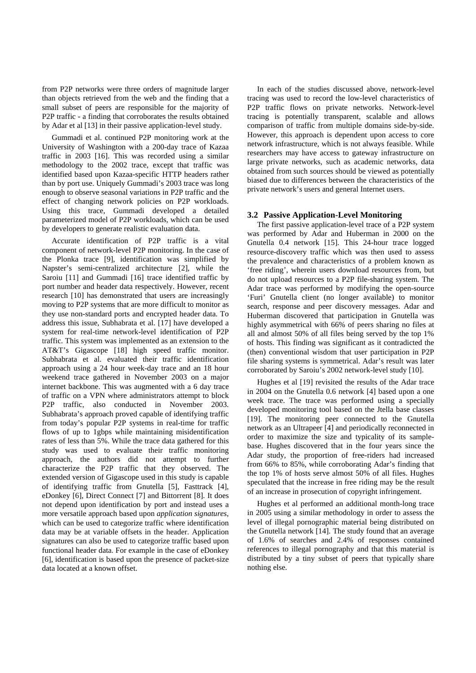from P2P networks were three orders of magnitude larger than objects retrieved from the web and the finding that a small subset of peers are responsible for the majority of P2P traffic - a finding that corroborates the results obtained by Adar et al [13] in their passive application-level study.

 Gummadi et al. continued P2P monitoring work at the University of Washington with a 200-day trace of Kazaa traffic in 2003 [16]. This was recorded using a similar methodology to the 2002 trace, except that traffic was identified based upon Kazaa-specific HTTP headers rather than by port use. Uniquely Gummadi's 2003 trace was long enough to observe seasonal variations in P2P traffic and the effect of changing network policies on P2P workloads. Using this trace, Gummadi developed a detailed parameterized model of P2P workloads, which can be used by developers to generate realistic evaluation data.

 Accurate identification of P2P traffic is a vital component of network-level P2P monitoring. In the case of the Plonka trace [9], identification was simplified by Napster's semi-centralized architecture [2], while the Saroiu [11] and Gummadi [16] trace identified traffic by port number and header data respectively. However, recent research [10] has demonstrated that users are increasingly moving to P2P systems that are more difficult to monitor as they use non-standard ports and encrypted header data. To address this issue, Subhabrata et al. [17] have developed a system for real-time network-level identification of P2P traffic. This system was implemented as an extension to the AT&T's Gigascope [18] high speed traffic monitor. Subhabrata et al. evaluated their traffic identification approach using a 24 hour week-day trace and an 18 hour weekend trace gathered in November 2003 on a major internet backbone. This was augmented with a 6 day trace of traffic on a VPN where administrators attempt to block P2P traffic, also conducted in November 2003. Subhabrata's approach proved capable of identifying traffic from today's popular P2P systems in real-time for traffic flows of up to 1gbps while maintaining misidentification rates of less than 5%. While the trace data gathered for this study was used to evaluate their traffic monitoring approach, the authors did not attempt to further characterize the P2P traffic that they observed. The extended version of Gigascope used in this study is capable of identifying traffic from Gnutella [5], Fasttrack [4], eDonkey [6], Direct Connect [7] and Bittorrent [8]. It does not depend upon identification by port and instead uses a more versatile approach based upon *application signatures*, which can be used to categorize traffic where identification data may be at variable offsets in the header. Application signatures can also be used to categorize traffic based upon functional header data. For example in the case of eDonkey [6], identification is based upon the presence of packet-size data located at a known offset.

 In each of the studies discussed above, network-level tracing was used to record the low-level characteristics of P2P traffic flows on private networks. Network-level tracing is potentially transparent, scalable and allows comparison of traffic from multiple domains side-by-side. However, this approach is dependent upon access to core network infrastructure, which is not always feasible. While researchers may have access to gateway infrastructure on large private networks, such as academic networks, data obtained from such sources should be viewed as potentially biased due to differences between the characteristics of the private network's users and general Internet users.

#### **3.2 Passive Application-Level Monitoring**

 The first passive application-level trace of a P2P system was performed by Adar and Huberman in 2000 on the Gnutella 0.4 network [15]. This 24-hour trace logged resource-discovery traffic which was then used to assess the prevalence and characteristics of a problem known as 'free riding', wherein users download resources from, but do not upload resources to a P2P file-sharing system. The Adar trace was performed by modifying the open-source 'Furi' Gnutella client (no longer available) to monitor search, response and peer discovery messages. Adar and Huberman discovered that participation in Gnutella was highly asymmetrical with 66% of peers sharing no files at all and almost 50% of all files being served by the top 1% of hosts. This finding was significant as it contradicted the (then) conventional wisdom that user participation in P2P file sharing systems is symmetrical. Adar's result was later corroborated by Saroiu's 2002 network-level study [10].

 Hughes et al [19] revisited the results of the Adar trace in 2004 on the Gnutella 0.6 network [4] based upon a one week trace. The trace was performed using a specially developed monitoring tool based on the Jtella base classes [19]. The monitoring peer connected to the Gnutella network as an Ultrapeer [4] and periodically reconnected in order to maximize the size and typicality of its samplebase. Hughes discovered that in the four years since the Adar study, the proportion of free-riders had increased from 66% to 85%, while corroborating Adar's finding that the top 1% of hosts serve almost 50% of all files. Hughes speculated that the increase in free riding may be the result of an increase in prosecution of copyright infringement.

 Hughes et al performed an additional month-long trace in 2005 using a similar methodology in order to assess the level of illegal pornographic material being distributed on the Gnutella network [14]. The study found that an average of 1.6% of searches and 2.4% of responses contained references to illegal pornography and that this material is distributed by a tiny subset of peers that typically share nothing else.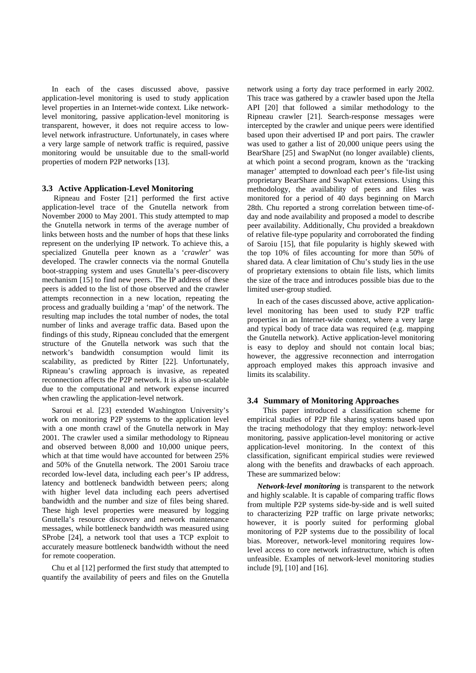In each of the cases discussed above, passive application-level monitoring is used to study application level properties in an Internet-wide context. Like networklevel monitoring, passive application-level monitoring is transparent, however, it does not require access to lowlevel network infrastructure. Unfortunately, in cases where a very large sample of network traffic is required, passive monitoring would be unsuitable due to the small-world properties of modern P2P networks [13].

## **3.3 Active Application-Level Monitoring**

 Ripneau and Foster [21] performed the first active application-level trace of the Gnutella network from November 2000 to May 2001. This study attempted to map the Gnutella network in terms of the average number of links between hosts and the number of hops that these links represent on the underlying IP network. To achieve this, a specialized Gnutella peer known as a '*crawler*' was developed. The crawler connects via the normal Gnutella boot-strapping system and uses Gnutella's peer-discovery mechanism [15] to find new peers. The IP address of these peers is added to the list of those observed and the crawler attempts reconnection in a new location, repeating the process and gradually building a 'map' of the network. The resulting map includes the total number of nodes, the total number of links and average traffic data. Based upon the findings of this study, Ripneau concluded that the emergent structure of the Gnutella network was such that the network's bandwidth consumption would limit its scalability, as predicted by Ritter [22]. Unfortunately, Ripneau's crawling approach is invasive, as repeated reconnection affects the P2P network. It is also un-scalable due to the computational and network expense incurred when crawling the application-level network.

 Saroui et al. [23] extended Washington University's work on monitoring P2P systems to the application level with a one month crawl of the Gnutella network in May 2001. The crawler used a similar methodology to Ripneau and observed between 8,000 and 10,000 unique peers, which at that time would have accounted for between 25% and 50% of the Gnutella network. The 2001 Saroiu trace recorded low-level data, including each peer's IP address, latency and bottleneck bandwidth between peers; along with higher level data including each peers advertised bandwidth and the number and size of files being shared. These high level properties were measured by logging Gnutella's resource discovery and network maintenance messages, while bottleneck bandwidth was measured using SProbe [24], a network tool that uses a TCP exploit to accurately measure bottleneck bandwidth without the need for remote cooperation.

 Chu et al [12] performed the first study that attempted to quantify the availability of peers and files on the Gnutella

network using a forty day trace performed in early 2002. This trace was gathered by a crawler based upon the Jtella API [20] that followed a similar methodology to the Ripneau crawler [21]. Search-response messages were intercepted by the crawler and unique peers were identified based upon their advertised IP and port pairs. The crawler was used to gather a list of 20,000 unique peers using the BearShare [25] and SwapNut (no longer available) clients, at which point a second program, known as the 'tracking manager' attempted to download each peer's file-list using proprietary BearShare and SwapNut extensions. Using this methodology, the availability of peers and files was monitored for a period of 40 days beginning on March 28th. Chu reported a strong correlation between time-ofday and node availability and proposed a model to describe peer availability. Additionally, Chu provided a breakdown of relative file-type popularity and corroborated the finding of Saroiu [15], that file popularity is highly skewed with the top 10% of files accounting for more than 50% of shared data. A clear limitation of Chu's study lies in the use of proprietary extensions to obtain file lists, which limits the size of the trace and introduces possible bias due to the limited user-group studied.

 In each of the cases discussed above, active applicationlevel monitoring has been used to study P2P traffic properties in an Internet-wide context, where a very large and typical body of trace data was required (e.g. mapping the Gnutella network). Active application-level monitoring is easy to deploy and should not contain local bias; however, the aggressive reconnection and interrogation approach employed makes this approach invasive and limits its scalability.

#### **3.4 Summary of Monitoring Approaches**

 This paper introduced a classification scheme for empirical studies of P2P file sharing systems based upon the tracing methodology that they employ: network-level monitoring, passive application-level monitoring or active application-level monitoring. In the context of this classification, significant empirical studies were reviewed along with the benefits and drawbacks of each approach. These are summarized below:

 *Network-level monitoring* is transparent to the network and highly scalable. It is capable of comparing traffic flows from multiple P2P systems side-by-side and is well suited to characterizing P2P traffic on large private networks; however, it is poorly suited for performing global monitoring of P2P systems due to the possibility of local bias. Moreover, network-level monitoring requires lowlevel access to core network infrastructure, which is often unfeasible. Examples of network-level monitoring studies include [9], [10] and [16].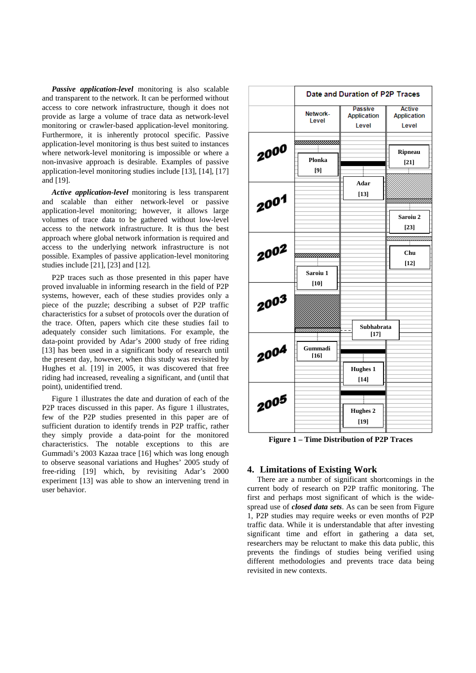*Passive application-level* monitoring is also scalable and transparent to the network. It can be performed without access to core network infrastructure, though it does not provide as large a volume of trace data as network-level monitoring or crawler-based application-level monitoring. Furthermore, it is inherently protocol specific. Passive application-level monitoring is thus best suited to instances where network-level monitoring is impossible or where a non-invasive approach is desirable. Examples of passive application-level monitoring studies include [13], [14], [17] and [19].

 *Active application-level* monitoring is less transparent and scalable than either network-level or passive application-level monitoring; however, it allows large volumes of trace data to be gathered without low-level access to the network infrastructure. It is thus the best approach where global network information is required and access to the underlying network infrastructure is not possible. Examples of passive application-level monitoring studies include [21], [23] and [12].

 P2P traces such as those presented in this paper have proved invaluable in informing research in the field of P2P systems, however, each of these studies provides only a piece of the puzzle; describing a subset of P2P traffic characteristics for a subset of protocols over the duration of the trace. Often, papers which cite these studies fail to adequately consider such limitations. For example, the data-point provided by Adar's 2000 study of free riding [13] has been used in a significant body of research until the present day, however, when this study was revisited by Hughes et al. [19] in 2005, it was discovered that free riding had increased, revealing a significant, and (until that point), unidentified trend.

 Figure 1 illustrates the date and duration of each of the P2P traces discussed in this paper. As figure 1 illustrates, few of the P2P studies presented in this paper are of sufficient duration to identify trends in P2P traffic, rather they simply provide a data-point for the monitored characteristics. The notable exceptions to this are Gummadi's 2003 Kazaa trace [16] which was long enough to observe seasonal variations and Hughes' 2005 study of free-riding [19] which, by revisiting Adar's 2000 experiment [13] was able to show an intervening trend in user behavior.



**Figure 1 – Time Distribution of P2P Traces** 

## **4. Limitations of Existing Work**

 There are a number of significant shortcomings in the current body of research on P2P traffic monitoring. The first and perhaps most significant of which is the widespread use of *closed data sets*. As can be seen from Figure 1, P2P studies may require weeks or even months of P2P traffic data. While it is understandable that after investing significant time and effort in gathering a data set, researchers may be reluctant to make this data public, this prevents the findings of studies being verified using different methodologies and prevents trace data being revisited in new contexts.